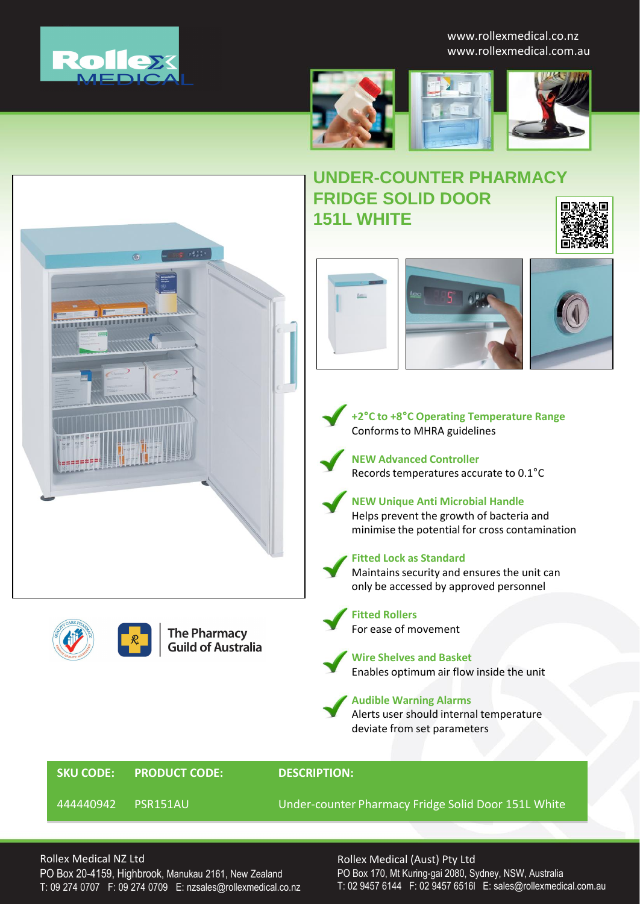

www.rollexmedical.co.nz www.rollexmedical.com.au





# **UNDER-COUNTER PHARMACY FRIDGE SOLID DOOR 151L WHITE**



444440942 PSR151AU Under-counter Pharmacy Fridge Solid Door 151L White

### Rollex Medical NZ Ltd

PO Box 20-4159, Highbrook, Manukau 2161, New Zealand T: 09 274 0707 F: 09 274 0709 E: nzsales@rollexmedical.co.nz

#### Rollex Medical (Aust) Pty Ltd

PO Box 170, Mt Kuring-gai 2080, Sydney, NSW, Australia T: 02 9457 6144 F: 02 9457 6516l E: sales@rollexmedical.com.au